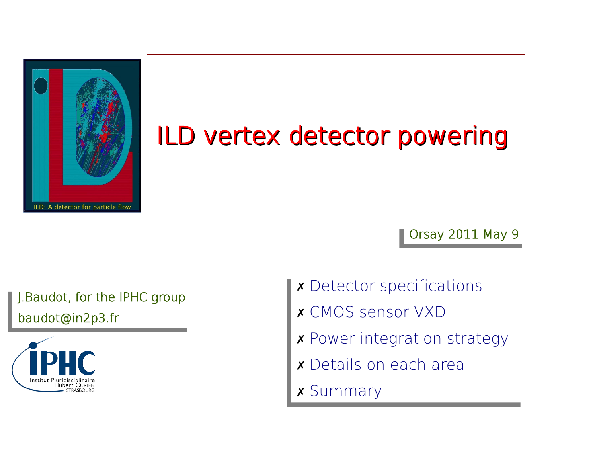

### ILD vertex detector powering

#### Orsay 2011 May 9

#### J.Baudot, for the IPHC group baudot@in2p3.fr



- ✗ Detector specifcations ✗ Detector specifcations
- ✗ CMOS sensor VXD ✗ CMOS sensor VXD
- ✗ Power integration strategy ✗ Power integration strategy
- ✗ Details on each area ✗ Details on each area
- ✗ Summary ✗ Summary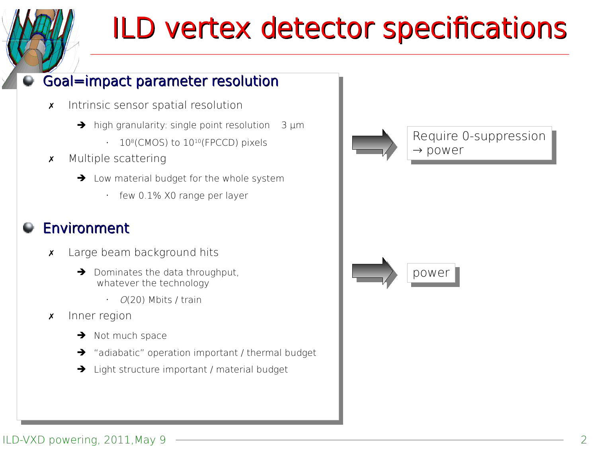## ILD vertex detector specifications

#### Goal=impact parameter resolution Goal=impact parameter resolution

- ✗ Intrinsic sensor spatial resolution ✗ Intrinsic sensor spatial resolution
	- → high granularity: single point resolution 3 µm
		- $\cdot$  10<sup>8</sup>(CMOS) to 10<sup>10</sup>(FPCCD) pixels
- ✗ Multiple scattering ✗ Multiple scattering
	- ➔ Low material budget for the whole system ➔ Low material budget for the whole system
		- few 0.1% X0 range per layer few 0.1% X0 range per layer

#### Environment Environment

- ✗ Large beam background hits ✗ Large beam background hits
	- ➔ Dominates the data throughput, ➔ Dominates the data throughput, whatever the technology whatever the technology
		- O(20) Mbits / train O(20) Mbits / train
- ✗ Inner region ✗ Inner region
	- ➔ Not much space ➔ Not much space
	- ➔ "adiabatic" operation important / thermal budget ➔ "adiabatic" operation important / thermal budget
	- ➔ Light structure important / material budget ➔ Light structure important / material budget



#### ILD-VXD powering, 2011, May 9 2 2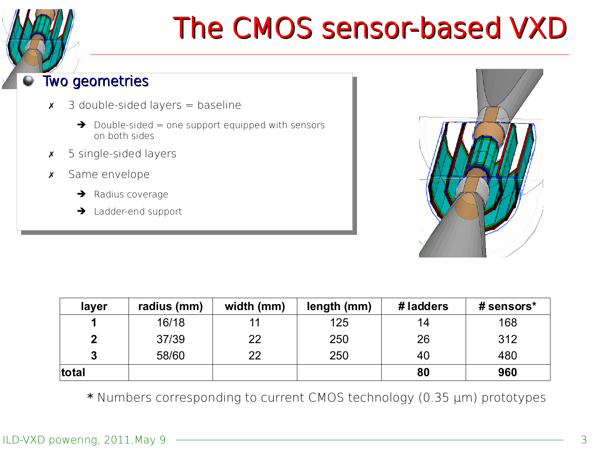### The CMOS sensor-based VXD

#### Two geometries Two geometries

- $\times$  3 double-sided layers = baseline
	- $\rightarrow$  Double-sided = one support equipped with sensors on both sides on both sides
- ✗ 5 single-sided layers ✗ 5 single-sided layers
- ✗ Same envelope ✗ Same envelope
	- ➔ Radius coverage ➔ Radius coverage
	- ➔ Ladder-end support ➔ Ladder-end support



| layer | radius (mm) | width (mm) | length (mm) | #ladders | # sensors* |  |
|-------|-------------|------------|-------------|----------|------------|--|
|       | 16/18       |            | 125         | 14       | 168        |  |
|       | 37/39       | 22         | 250         | 26       | 312        |  |
| 2     | 58/60       | 22         | 250         | 40       | 480        |  |
| total |             |            |             | 80       | 960        |  |

\* Numbers corresponding to current CMOS technology (0.35 µm) prototypes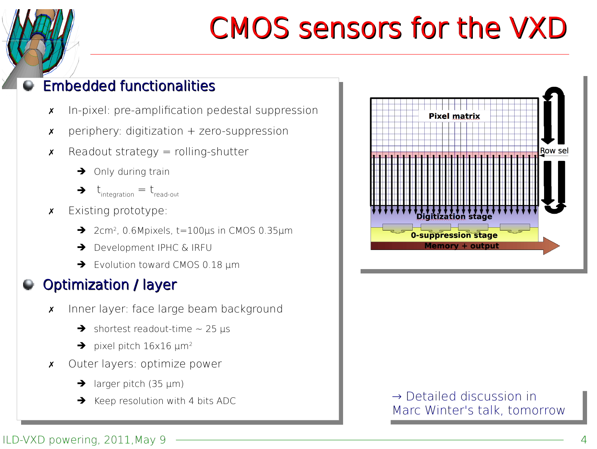## CMOS sensors for the VXD

#### Embedded functionalities Embedded functionalities

- ✗ In-pixel: pre-amplifcation pedestal suppression ✗ In-pixel: pre-amplifcation pedestal suppression
- ✗ periphery: digitization + zero-suppression ✗ periphery: digitization + zero-suppression
- x Readout strategy = rolling-shutter
	- ➔ Only during train ➔ Only during train
	- $\blacktriangleright$   $t_{\text{integration}} = t_{\text{read-out}}$
- ✗ Existing prototype: ✗ Existing prototype:
	- ➔ 2cm<sup>2</sup> , 0.6Mpixels, t=100µs in CMOS 0.35µm ➔ 2cm<sup>2</sup> , 0.6Mpixels, t=100µs in CMOS 0.35µm
	- ➔ Development IPHC & IRFU ➔ Development IPHC & IRFU
	- ➔ Evolution toward CMOS 0.18 µm ➔ Evolution toward CMOS 0.18 µm

### Optimization / layer Optimization / layer

- ✗ Inner layer: face large beam background ✗ Inner layer: face large beam background
	- $\rightarrow$  shortest readout-time  $\sim$  25 µs
	- $\rightarrow$  pixel pitch 16x16  $\mu$ m<sup>2</sup>
- ✗ Outer layers: optimize power ✗ Outer layers: optimize power
	- $\rightarrow$  larger pitch (35 µm)
	-



→ Keep resolution with 4 bits ADC → Detailed discussion in Marc Winter's talk, tomorrow → Detailed discussion in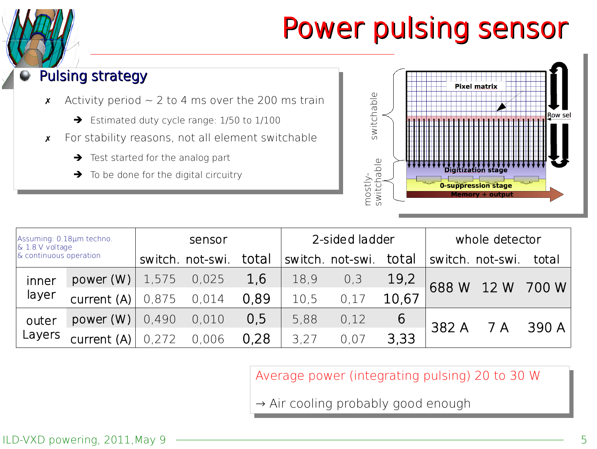## Power pulsing sensor

#### Pulsing strategy Pulsing strategy

- $\times$  Activity period  $\sim$  2 to 4 ms over the 200 ms train
	- ➔ Estimated duty cycle range: 1/50 to 1/100 ➔ Estimated duty cycle range: 1/50 to 1/100
- ✗ For stability reasons, not all element switchable ✗ For stability reasons, not all element switchable
	- ➔ Test started for the analog part ➔ Test started for the analog part
	- $\rightarrow$  To be done for the digital circuitry



| Assuming: 0.18µm techno.<br>$\&$ 1.8 V voltage<br>& continuous operation |             | sensor |                  |       | 2-sided ladder |                  |       | whole detector |                  |       |
|--------------------------------------------------------------------------|-------------|--------|------------------|-------|----------------|------------------|-------|----------------|------------------|-------|
|                                                                          |             |        | switch, not-swi. | total |                | switch. not-swi. | total |                | switch. not-swi. | total |
| inner<br>layer                                                           | power(W)    | 1,575  | 0,025            | 1,6   | 18,9           | 0,3              | 19,2  | 688 W 12 W     |                  | 700 W |
|                                                                          | current (A) | 0,875  | 0,014            | 0.89  | 10,5           | 0.17             | 10,67 |                |                  |       |
| outer<br>Layers                                                          | power(W)    | 0,490  | 0,010            | 0.5   | 5,88           | 0,12             | 6     | 382 A          | 7A               | 390 A |
|                                                                          | current (A) | 0,272  | 0,006            | 0,28  | 3.27           | 0.07             | 3,33  |                |                  |       |

#### Average power (integrating pulsing) 20 to 30 W

→ Air cooling probably good enough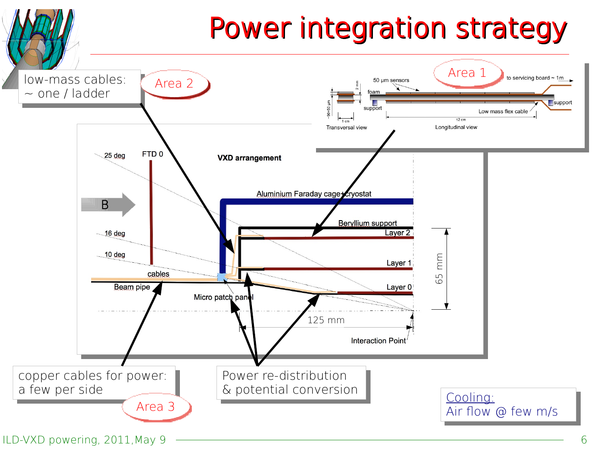### Power integration strategy

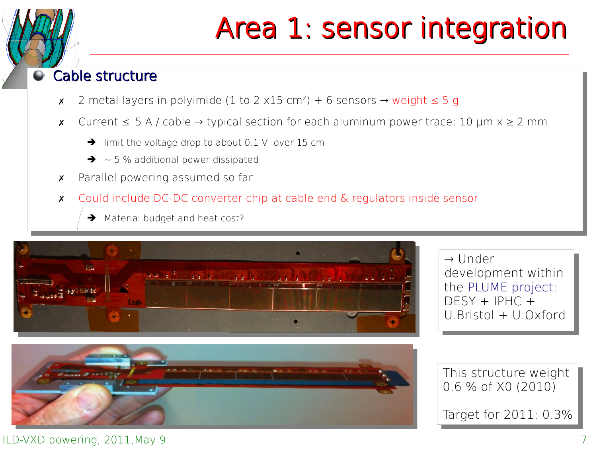## Area 1: sensor integration

#### Cable structure Cable structure

- $\times$  2 metal layers in polyimide (1 to 2 x15 cm<sup>2</sup>) + 6 sensors → weight  $\leq$  5 g
- ✗ Current ≤ 5 A / cable → typical section for each aluminum power trace: 10 µm x ≥ 2 mm ✗ Current ≤ 5 A / cable → typical section for each aluminum power trace: 10 µm x ≥ 2 mm
	- $\rightarrow$  limit the voltage drop to about 0.1 V over 15 cm
	- $\rightarrow$  ~5% additional power dissipated
- ✗ Parallel powering assumed so far ✗ Parallel powering assumed so far
- ✗ Could include DC-DC converter chip at cable end & regulators inside sensor ✗ Could include DC-DC converter chip at cable end & regulators inside sensor
	- ➔ Material budget and heat cost? ➔ Material budget and heat cost?



→ Under → Under development within development within the PLUME project: the PLUME project: DESY + IPHC + DESY + IPHC + U.Bristol + U.Oxford U.Bristol + U.Oxford



This structure weight This structure weight 0.6 % of X0 (2010) 0.6 % of X0 (2010)

Target for 2011: 0.3%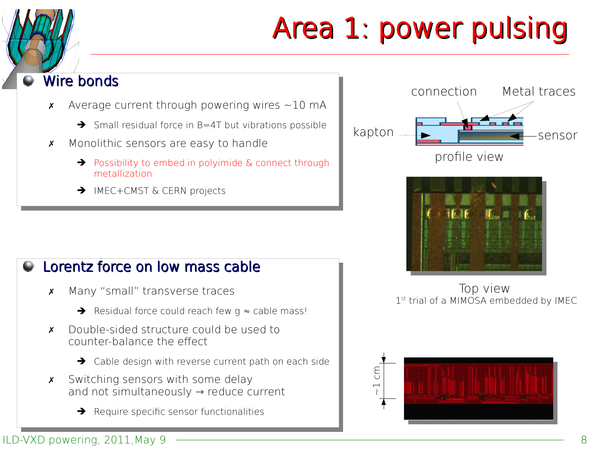# Area 1: power pulsing

#### Wire bonds Wire bonds

- $\times$  Average current through powering wires  $\sim$ 10 mA
	- ➔ Small residual force in B=4T but vibrations possible ➔ Small residual force in B=4T but vibrations possible
- ✗ Monolithic sensors are easy to handle ✗ Monolithic sensors are easy to handle
	- ➔ Possibility to embed in polyimide & connect through ➔ Possibility to embed in polyimide & connect through metallization metallization
	- ➔ IMEC+CMST & CERN projects ➔ IMEC+CMST & CERN projects

#### Lorentz force on low mass cable Lorentz force on low mass cable

- ✗ Many "small" transverse traces ✗ Many "small" transverse traces
	- ➔ Residual force could reach few g ≈ cable mass! ➔ Residual force could reach few g ≈ cable mass!
- ✗ Double-sided structure could be used to ✗ Double-sided structure could be used to counter-balance the efect counter-balance the efect
	- ➔ Cable design with reverse current path on each side ➔ Cable design with reverse current path on each side
- ✗ Switching sensors with some delay ✗ Switching sensors with some delay and not simultaneously → reduce current and not simultaneously → reduce current
	- **→** Require specific sensor functionalities





Top view 1<sup>st</sup> trial of a MIMOSA embedded by IMEC

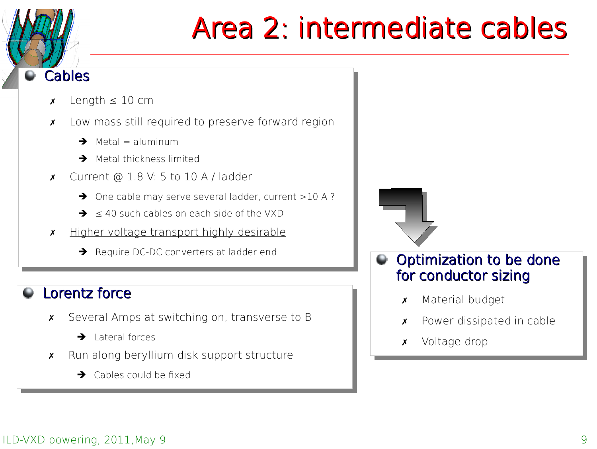

## Area 2: intermediate cables

- $\times$  Length  $\leq 10$  cm
- ✗ Low mass still required to preserve forward region ✗ Low mass still required to preserve forward region
	- $\rightarrow$  Metal = aluminum
	- ➔ Metal thickness limited ➔ Metal thickness limited
- x Current  $\odot$  1.8 V: 5 to 10 A / ladder
	- ➔ One cable may serve several ladder, current >10 A ? ➔ One cable may serve several ladder, current >10 A ?
	- $\rightarrow$   $\leq$  40 such cables on each side of the VXD
- ✗ Higher voltage transport highly desirable ✗ Higher voltage transport highly desirable
	- ➔ Require DC-DC converters at ladder end ➔ Require DC-DC converters at ladder end

### Lorentz force Lorentz force

- ✗ Several Amps at switching on, transverse to B ✗ Several Amps at switching on, transverse to B
	- ➔ Lateral forces ➔ Lateral forces
- ✗ Run along beryllium disk support structure ✗ Run along beryllium disk support structure
	- $\rightarrow$  Cables could be fixed



- Optimization to be done Optimization to be done for conductor sizing for conductor sizing
	- ✗ Material budget ✗ Material budget
	- ✗ Power dissipated in cable ✗ Power dissipated in cable
	- ✗ Voltage drop ✗ Voltage drop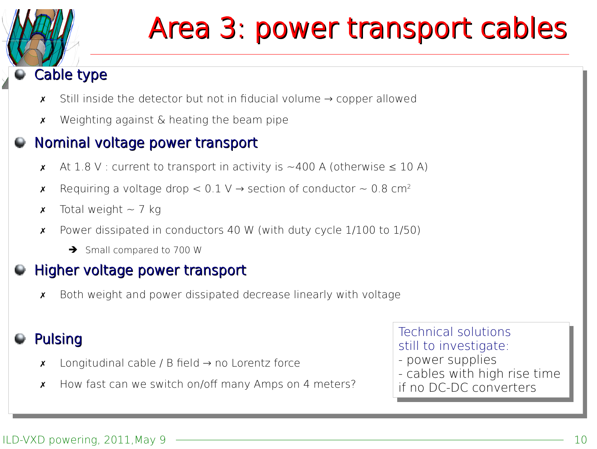

## Area 3: power transport cables

### Cable type Cable type

- ✗ Still inside the detector but not in fducial volume → copper allowed ✗ Still inside the detector but not in fducial volume → copper allowed
- ✗ Weighting against & heating the beam pipe ✗ Weighting against & heating the beam pipe

#### Nominal voltage power transport Nominal voltage power transport

- **★** At 1.8 V : current to transport in activity is ~400 A (otherwise  $\leq$  10 A)
- **★** Requiring a voltage drop <  $0.1 \vee \rightarrow$  section of conductor ~ 0.8 cm<sup>2</sup>
- **x** Total weight  $\sim$  7 kg
- ✗ Power dissipated in conductors 40 W (with duty cycle 1/100 to 1/50) ✗ Power dissipated in conductors 40 W (with duty cycle 1/100 to 1/50)
	- ➔ Small compared to 700 W ➔ Small compared to 700 W

### Higher voltage power transport Higher voltage power transport

✗ Both weight and power dissipated decrease linearly with voltage ✗ Both weight and power dissipated decrease linearly with voltage

### Pulsing Pulsing

- $\times$  Longitudinal cable / B field → no Lorentz force
- $\,\mathsf{x}\,$  How fast can we switch on/off many Amps on 4 meters?

Technical solutions Technical solutions still to investigate: still to investigate: - power supplies

- cables with high rise time if no DC-DC converters if no DC-DC converters